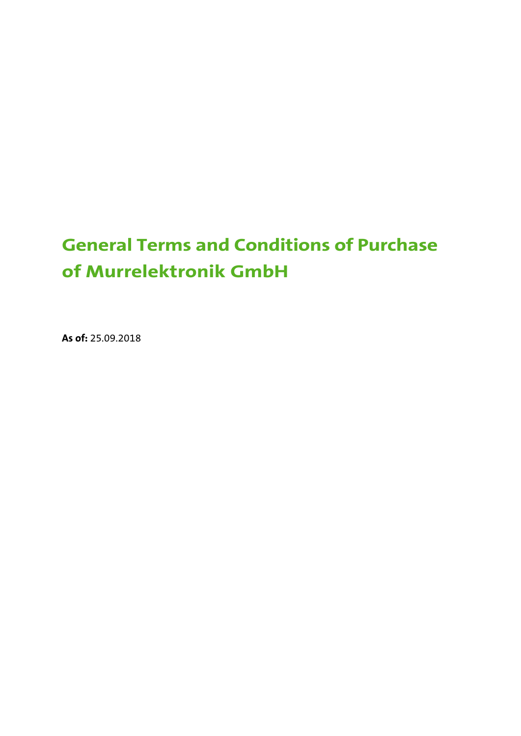# **General Terms and Conditions of Purchase of Murrelektronik GmbH**

**As of:** 25.09.2018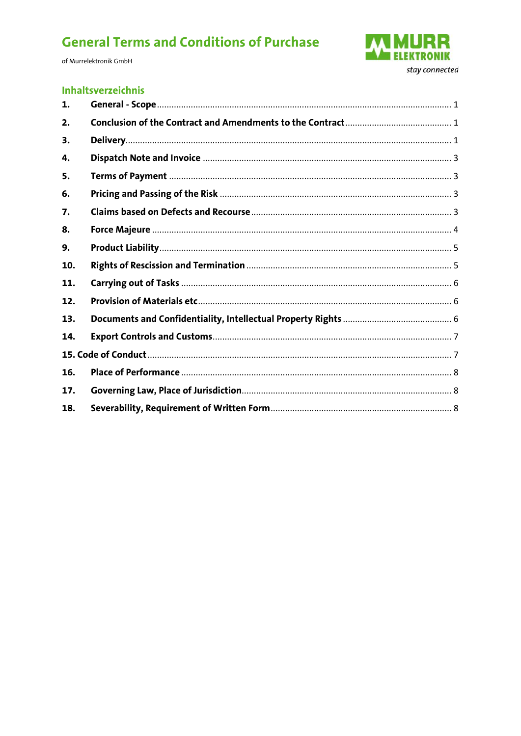of Murrelektronik GmbH



#### **Inhaltsverzeichnis**

| 1.  |  |  |
|-----|--|--|
| 2.  |  |  |
| 3.  |  |  |
| 4.  |  |  |
| 5.  |  |  |
| 6.  |  |  |
| 7.  |  |  |
| 8.  |  |  |
| 9.  |  |  |
| 10. |  |  |
| 11. |  |  |
| 12. |  |  |
| 13. |  |  |
| 14. |  |  |
|     |  |  |
| 16. |  |  |
| 17. |  |  |
| 18. |  |  |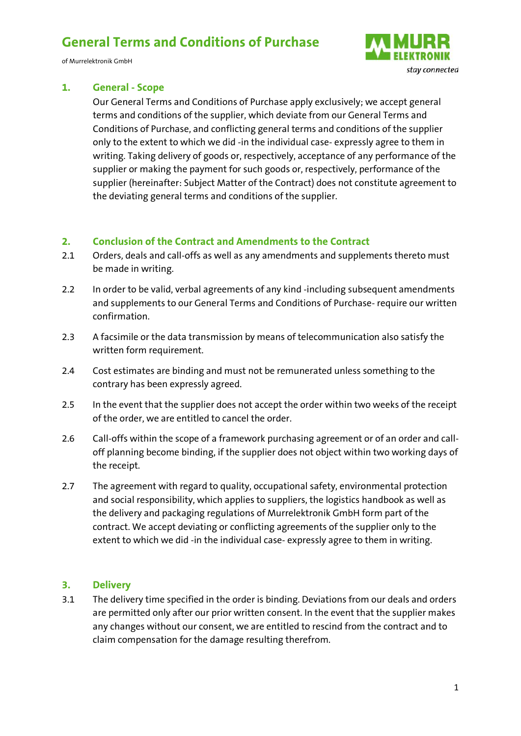of Murrelektronik GmbH



#### <span id="page-2-0"></span>**1. General - Scope**

Our General Terms and Conditions of Purchase apply exclusively; we accept general terms and conditions of the supplier, which deviate from our General Terms and Conditions of Purchase, and conflicting general terms and conditions of the supplier only to the extent to which we did -in the individual case- expressly agree to them in writing. Taking delivery of goods or, respectively, acceptance of any performance of the supplier or making the payment for such goods or, respectively, performance of the supplier (hereinafter: Subject Matter of the Contract) does not constitute agreement to the deviating general terms and conditions of the supplier.

#### <span id="page-2-1"></span>**2. Conclusion of the Contract and Amendments to the Contract**

- 2.1 Orders, deals and call-offs as well as any amendments and supplements thereto must be made in writing.
- 2.2 In order to be valid, verbal agreements of any kind -including subsequent amendments and supplements to our General Terms and Conditions of Purchase- require our written confirmation.
- 2.3 A facsimile or the data transmission by means of telecommunication also satisfy the written form requirement.
- 2.4 Cost estimates are binding and must not be remunerated unless something to the contrary has been expressly agreed.
- 2.5 In the event that the supplier does not accept the order within two weeks of the receipt of the order, we are entitled to cancel the order.
- 2.6 Call-offs within the scope of a framework purchasing agreement or of an order and calloff planning become binding, if the supplier does not object within two working days of the receipt.
- 2.7 The agreement with regard to quality, occupational safety, environmental protection and social responsibility, which applies to suppliers, the logistics handbook as well as the delivery and packaging regulations of Murrelektronik GmbH form part of the contract. We accept deviating or conflicting agreements of the supplier only to the extent to which we did -in the individual case- expressly agree to them in writing.

#### <span id="page-2-2"></span>**3. Delivery**

3.1 The delivery time specified in the order is binding. Deviations from our deals and orders are permitted only after our prior written consent. In the event that the supplier makes any changes without our consent, we are entitled to rescind from the contract and to claim compensation for the damage resulting therefrom.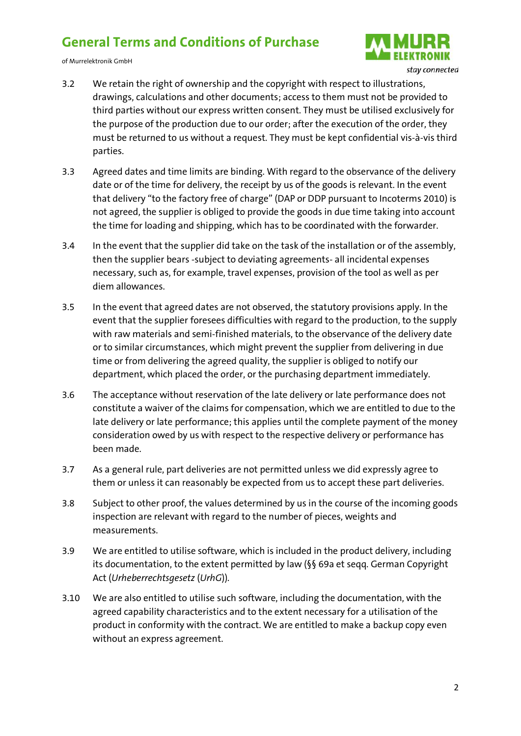of Murrelektronik GmbH



- 3.2 We retain the right of ownership and the copyright with respect to illustrations, drawings, calculations and other documents; access to them must not be provided to third parties without our express written consent. They must be utilised exclusively for the purpose of the production due to our order; after the execution of the order, they must be returned to us without a request. They must be kept confidential vis-à-vis third parties.
- 3.3 Agreed dates and time limits are binding. With regard to the observance of the delivery date or of the time for delivery, the receipt by us of the goods is relevant. In the event that delivery "to the factory free of charge" (DAP or DDP pursuant to Incoterms 2010) is not agreed, the supplier is obliged to provide the goods in due time taking into account the time for loading and shipping, which has to be coordinated with the forwarder.
- 3.4 In the event that the supplier did take on the task of the installation or of the assembly, then the supplier bears -subject to deviating agreements- all incidental expenses necessary, such as, for example, travel expenses, provision of the tool as well as per diem allowances.
- 3.5 In the event that agreed dates are not observed, the statutory provisions apply. In the event that the supplier foresees difficulties with regard to the production, to the supply with raw materials and semi-finished materials, to the observance of the delivery date or to similar circumstances, which might prevent the supplier from delivering in due time or from delivering the agreed quality, the supplier is obliged to notify our department, which placed the order, or the purchasing department immediately.
- 3.6 The acceptance without reservation of the late delivery or late performance does not constitute a waiver of the claims for compensation, which we are entitled to due to the late delivery or late performance; this applies until the complete payment of the money consideration owed by us with respect to the respective delivery or performance has been made.
- 3.7 As a general rule, part deliveries are not permitted unless we did expressly agree to them or unless it can reasonably be expected from us to accept these part deliveries.
- 3.8 Subject to other proof, the values determined by us in the course of the incoming goods inspection are relevant with regard to the number of pieces, weights and measurements.
- 3.9 We are entitled to utilise software, which is included in the product delivery, including its documentation, to the extent permitted by law (§§ 69a et seqq. German Copyright Act (*Urheberrechtsgesetz* (*UrhG*))*.*
- 3.10 We are also entitled to utilise such software, including the documentation, with the agreed capability characteristics and to the extent necessary for a utilisation of the product in conformity with the contract. We are entitled to make a backup copy even without an express agreement.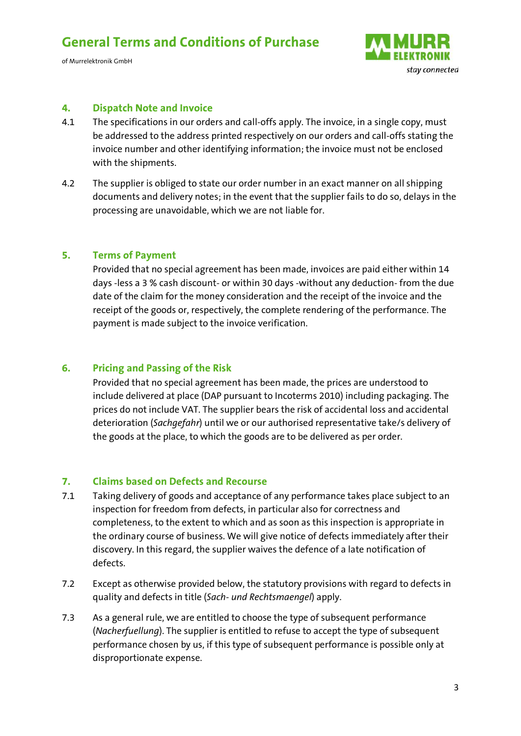of Murrelektronik GmbH



#### <span id="page-4-0"></span>**4. Dispatch Note and Invoice**

- 4.1 The specifications in our orders and call-offs apply. The invoice, in a single copy, must be addressed to the address printed respectively on our orders and call-offs stating the invoice number and other identifying information; the invoice must not be enclosed with the shipments.
- 4.2 The supplier is obliged to state our order number in an exact manner on all shipping documents and delivery notes; in the event that the supplier fails to do so, delays in the processing are unavoidable, which we are not liable for.

#### <span id="page-4-1"></span>**5. Terms of Payment**

Provided that no special agreement has been made, invoices are paid either within 14 days -less a 3 % cash discount- or within 30 days -without any deduction- from the due date of the claim for the money consideration and the receipt of the invoice and the receipt of the goods or, respectively, the complete rendering of the performance. The payment is made subject to the invoice verification.

#### <span id="page-4-2"></span>**6. Pricing and Passing of the Risk**

Provided that no special agreement has been made, the prices are understood to include delivered at place (DAP pursuant to Incoterms 2010) including packaging. The prices do not include VAT. The supplier bears the risk of accidental loss and accidental deterioration (*Sachgefahr*) until we or our authorised representative take/s delivery of the goods at the place, to which the goods are to be delivered as per order.

#### <span id="page-4-3"></span>**7. Claims based on Defects and Recourse**

- 7.1 Taking delivery of goods and acceptance of any performance takes place subject to an inspection for freedom from defects, in particular also for correctness and completeness, to the extent to which and as soon as this inspection is appropriate in the ordinary course of business. We will give notice of defects immediately after their discovery. In this regard, the supplier waives the defence of a late notification of defects.
- 7.2 Except as otherwise provided below, the statutory provisions with regard to defects in quality and defects in title (*Sach- und Rechtsmaengel*) apply.
- 7.3 As a general rule, we are entitled to choose the type of subsequent performance (*Nacherfuellung*). The supplier is entitled to refuse to accept the type of subsequent performance chosen by us, if this type of subsequent performance is possible only at disproportionate expense.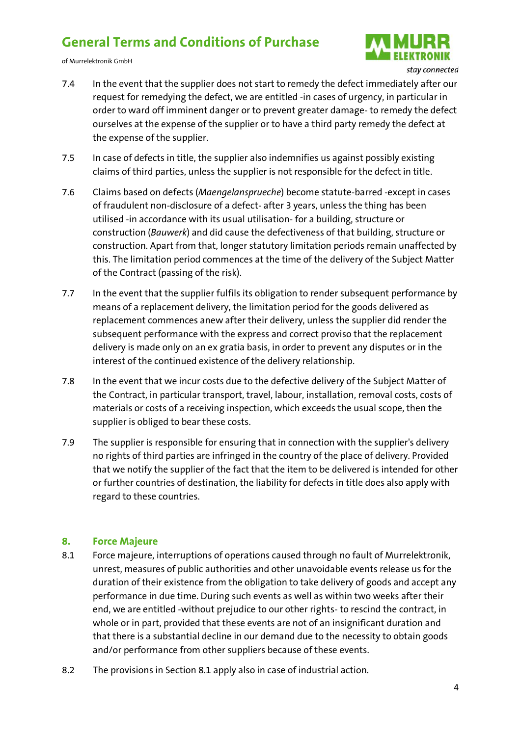of Murrelektronik GmbH



- 7.4 In the event that the supplier does not start to remedy the defect immediately after our request for remedying the defect, we are entitled -in cases of urgency, in particular in order to ward off imminent danger or to prevent greater damage- to remedy the defect ourselves at the expense of the supplier or to have a third party remedy the defect at the expense of the supplier.
- 7.5 In case of defects in title, the supplier also indemnifies us against possibly existing claims of third parties, unless the supplier is not responsible for the defect in title.
- 7.6 Claims based on defects (*Maengelansprueche*) become statute-barred -except in cases of fraudulent non-disclosure of a defect- after 3 years, unless the thing has been utilised -in accordance with its usual utilisation- for a building, structure or construction (*Bauwerk*) and did cause the defectiveness of that building, structure or construction. Apart from that, longer statutory limitation periods remain unaffected by this. The limitation period commences at the time of the delivery of the Subject Matter of the Contract (passing of the risk).
- 7.7 In the event that the supplier fulfils its obligation to render subsequent performance by means of a replacement delivery, the limitation period for the goods delivered as replacement commences anew after their delivery, unless the supplier did render the subsequent performance with the express and correct proviso that the replacement delivery is made only on an ex gratia basis, in order to prevent any disputes or in the interest of the continued existence of the delivery relationship.
- 7.8 In the event that we incur costs due to the defective delivery of the Subject Matter of the Contract, in particular transport, travel, labour, installation, removal costs, costs of materials or costs of a receiving inspection, which exceeds the usual scope, then the supplier is obliged to bear these costs.
- 7.9 The supplier is responsible for ensuring that in connection with the supplier's delivery no rights of third parties are infringed in the country of the place of delivery. Provided that we notify the supplier of the fact that the item to be delivered is intended for other or further countries of destination, the liability for defects in title does also apply with regard to these countries.

#### <span id="page-5-0"></span>**8. Force Majeure**

- 8.1 Force majeure, interruptions of operations caused through no fault of Murrelektronik, unrest, measures of public authorities and other unavoidable events release us for the duration of their existence from the obligation to take delivery of goods and accept any performance in due time. During such events as well as within two weeks after their end, we are entitled -without prejudice to our other rights- to rescind the contract, in whole or in part, provided that these events are not of an insignificant duration and that there is a substantial decline in our demand due to the necessity to obtain goods and/or performance from other suppliers because of these events.
- 8.2 The provisions in Section 8.1 apply also in case of industrial action.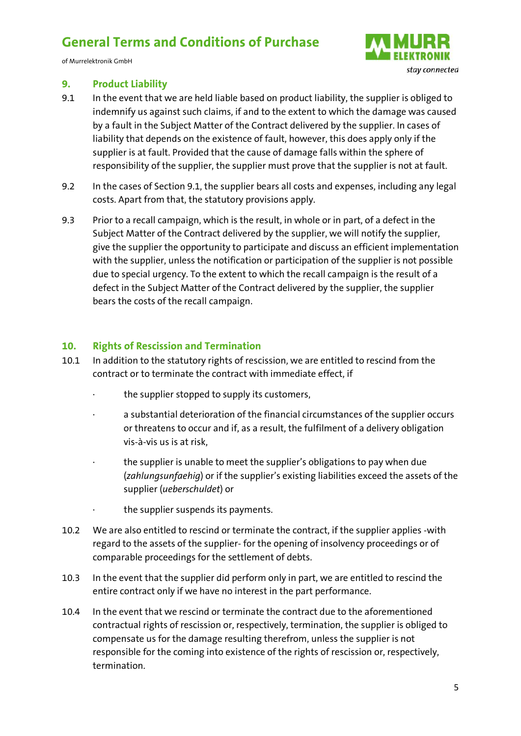of Murrelektronik GmbH



#### <span id="page-6-0"></span>**9. Product Liability**

- 9.1 In the event that we are held liable based on product liability, the supplier is obliged to indemnify us against such claims, if and to the extent to which the damage was caused by a fault in the Subject Matter of the Contract delivered by the supplier. In cases of liability that depends on the existence of fault, however, this does apply only if the supplier is at fault. Provided that the cause of damage falls within the sphere of responsibility of the supplier, the supplier must prove that the supplier is not at fault.
- 9.2 In the cases of Section 9.1, the supplier bears all costs and expenses, including any legal costs. Apart from that, the statutory provisions apply.
- 9.3 Prior to a recall campaign, which is the result, in whole or in part, of a defect in the Subject Matter of the Contract delivered by the supplier, we will notify the supplier, give the supplier the opportunity to participate and discuss an efficient implementation with the supplier, unless the notification or participation of the supplier is not possible due to special urgency. To the extent to which the recall campaign is the result of a defect in the Subject Matter of the Contract delivered by the supplier, the supplier bears the costs of the recall campaign.

#### <span id="page-6-1"></span>**10. Rights of Rescission and Termination**

- 10.1 In addition to the statutory rights of rescission, we are entitled to rescind from the contract or to terminate the contract with immediate effect, if
	- · the supplier stopped to supply its customers,
	- · a substantial deterioration of the financial circumstances of the supplier occurs or threatens to occur and if, as a result, the fulfilment of a delivery obligation vis-à-vis us is at risk,
	- the supplier is unable to meet the supplier's obligations to pay when due (*zahlungsunfaehig*) or if the supplier's existing liabilities exceed the assets of the supplier (*ueberschuldet*) or
	- the supplier suspends its payments.
- 10.2 We are also entitled to rescind or terminate the contract, if the supplier applies -with regard to the assets of the supplier- for the opening of insolvency proceedings or of comparable proceedings for the settlement of debts.
- 10.3 In the event that the supplier did perform only in part, we are entitled to rescind the entire contract only if we have no interest in the part performance.
- 10.4 In the event that we rescind or terminate the contract due to the aforementioned contractual rights of rescission or, respectively, termination, the supplier is obliged to compensate us for the damage resulting therefrom, unless the supplier is not responsible for the coming into existence of the rights of rescission or, respectively, termination.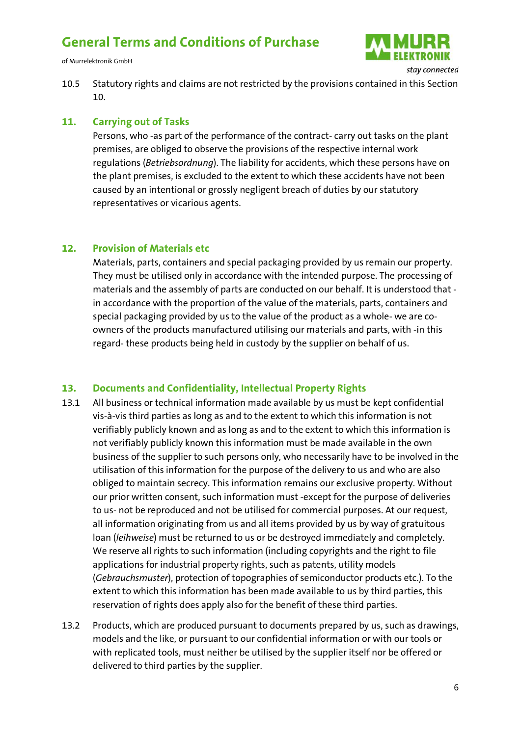of Murrelektronik GmbH



10.5 Statutory rights and claims are not restricted by the provisions contained in this Section 10.

#### <span id="page-7-0"></span>**11. Carrying out of Tasks**

Persons, who -as part of the performance of the contract- carry out tasks on the plant premises, are obliged to observe the provisions of the respective internal work regulations (*Betriebsordnung*). The liability for accidents, which these persons have on the plant premises, is excluded to the extent to which these accidents have not been caused by an intentional or grossly negligent breach of duties by our statutory representatives or vicarious agents.

#### <span id="page-7-1"></span>**12. Provision of Materials etc**

Materials, parts, containers and special packaging provided by us remain our property. They must be utilised only in accordance with the intended purpose. The processing of materials and the assembly of parts are conducted on our behalf. It is understood that in accordance with the proportion of the value of the materials, parts, containers and special packaging provided by us to the value of the product as a whole- we are coowners of the products manufactured utilising our materials and parts, with -in this regard- these products being held in custody by the supplier on behalf of us.

#### <span id="page-7-2"></span>**13. Documents and Confidentiality, Intellectual Property Rights**

- 13.1 All business or technical information made available by us must be kept confidential vis-à-vis third parties as long as and to the extent to which this information is not verifiably publicly known and as long as and to the extent to which this information is not verifiably publicly known this information must be made available in the own business of the supplier to such persons only, who necessarily have to be involved in the utilisation of this information for the purpose of the delivery to us and who are also obliged to maintain secrecy. This information remains our exclusive property. Without our prior written consent, such information must -except for the purpose of deliveries to us- not be reproduced and not be utilised for commercial purposes. At our request, all information originating from us and all items provided by us by way of gratuitous loan (*leihweise*) must be returned to us or be destroyed immediately and completely. We reserve all rights to such information (including copyrights and the right to file applications for industrial property rights, such as patents, utility models (*Gebrauchsmuster*), protection of topographies of semiconductor products etc.). To the extent to which this information has been made available to us by third parties, this reservation of rights does apply also for the benefit of these third parties.
- 13.2 Products, which are produced pursuant to documents prepared by us, such as drawings, models and the like, or pursuant to our confidential information or with our tools or with replicated tools, must neither be utilised by the supplier itself nor be offered or delivered to third parties by the supplier.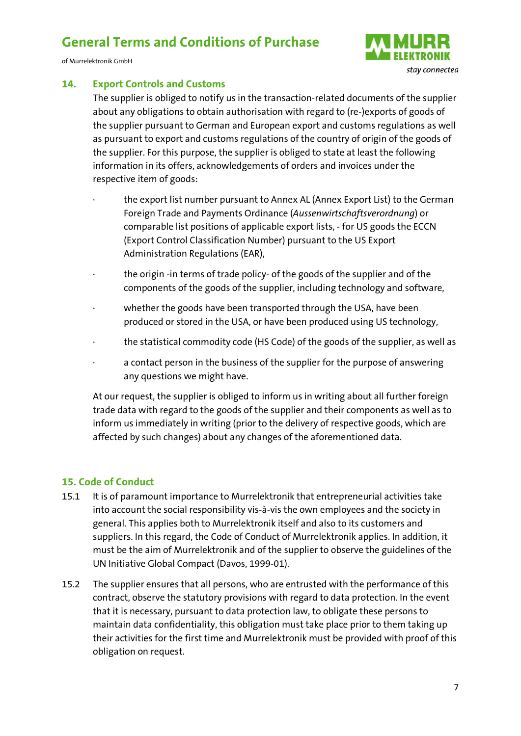of Murrelektronik GmbH



#### <span id="page-8-0"></span>**14. Export Controls and Customs**

The supplier is obliged to notify us in the transaction-related documents of the supplier about any obligations to obtain authorisation with regard to (re-)exports of goods of the supplier pursuant to German and European export and customs regulations as well as pursuant to export and customs regulations of the country of origin of the goods of the supplier. For this purpose, the supplier is obliged to state at least the following information in its offers, acknowledgements of orders and invoices under the respective item of goods:

- the export list number pursuant to Annex AL (Annex Export List) to the German Foreign Trade and Payments Ordinance (*Aussenwirtschaftsverordnung*) or comparable list positions of applicable export lists, - for US goods the ECCN (Export Control Classification Number) pursuant to the US Export Administration Regulations (EAR),
- · the origin -in terms of trade policy- of the goods of the supplier and of the components of the goods of the supplier, including technology and software,
- whether the goods have been transported through the USA, have been produced or stored in the USA, or have been produced using US technology,
- · the statistical commodity code (HS Code) of the goods of the supplier, as well as
- · a contact person in the business of the supplier for the purpose of answering any questions we might have.

At our request, the supplier is obliged to inform us in writing about all further foreign trade data with regard to the goods of the supplier and their components as well as to inform us immediately in writing (prior to the delivery of respective goods, which are affected by such changes) about any changes of the aforementioned data.

#### <span id="page-8-1"></span>**15. Code of Conduct**

- 15.1 It is of paramount importance to Murrelektronik that entrepreneurial activities take into account the social responsibility vis-à-vis the own employees and the society in general. This applies both to Murrelektronik itself and also to its customers and suppliers. In this regard, the Code of Conduct of Murrelektronik applies. In addition, it must be the aim of Murrelektronik and of the supplier to observe the guidelines of the UN Initiative Global Compact (Davos, 1999-01).
- 15.2 The supplier ensures that all persons, who are entrusted with the performance of this contract, observe the statutory provisions with regard to data protection. In the event that it is necessary, pursuant to data protection law, to obligate these persons to maintain data confidentiality, this obligation must take place prior to them taking up their activities for the first time and Murrelektronik must be provided with proof of this obligation on request.